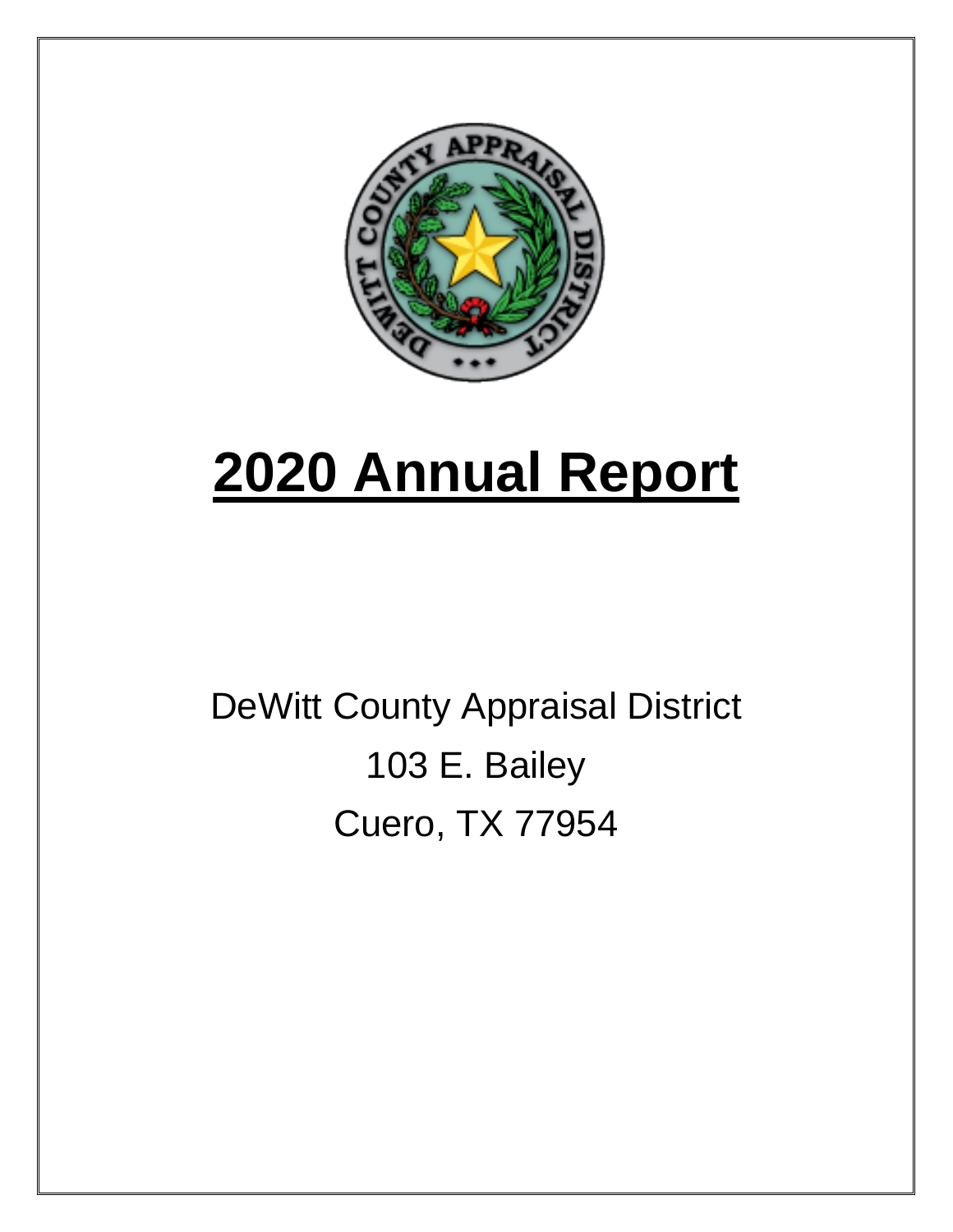

# **2020 Annual Report**

## DeWitt County Appraisal District 103 E. Bailey Cuero, TX 77954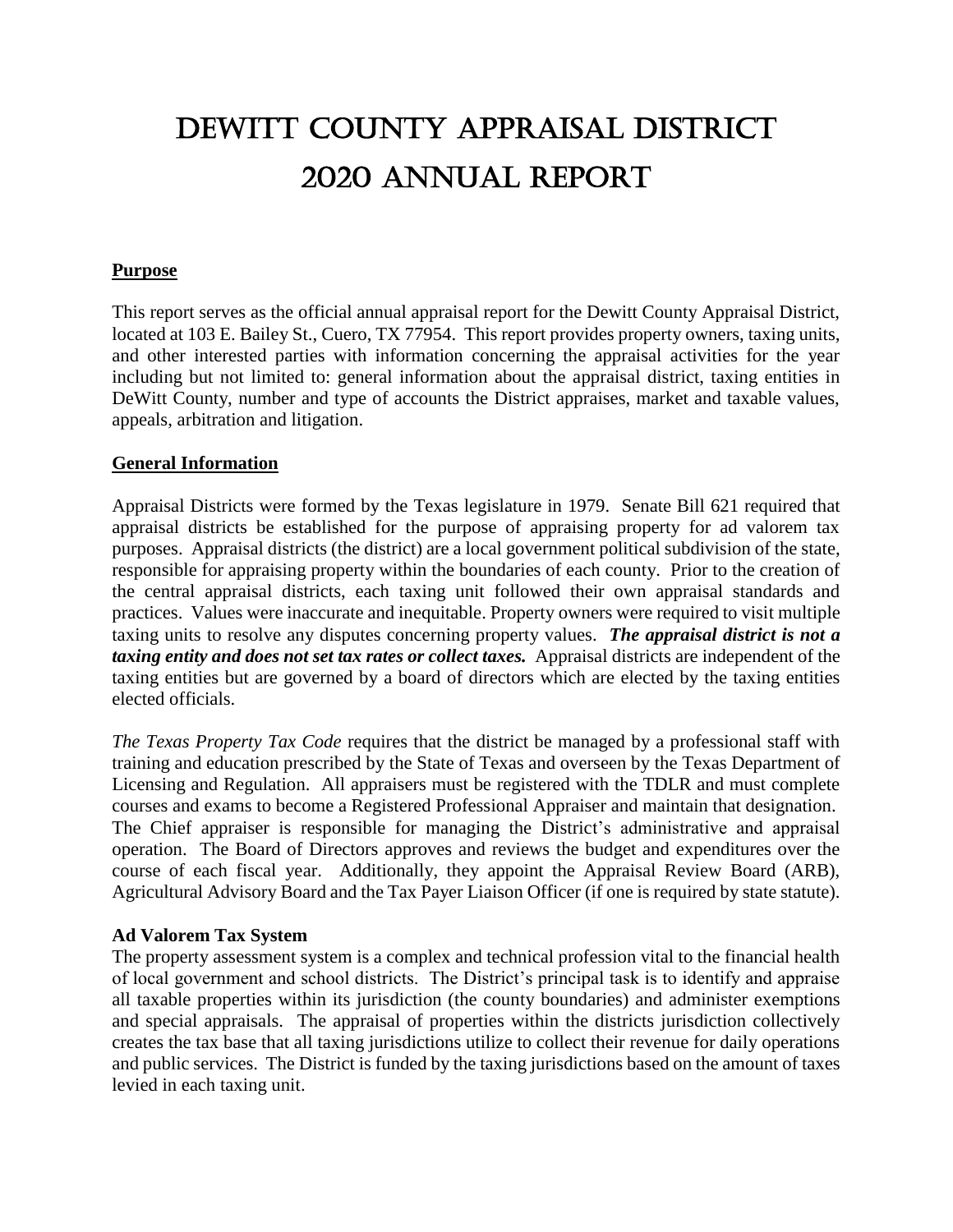### Dewitt county appraisal district 2020 annual report

#### **Purpose**

This report serves as the official annual appraisal report for the Dewitt County Appraisal District, located at 103 E. Bailey St., Cuero, TX 77954. This report provides property owners, taxing units, and other interested parties with information concerning the appraisal activities for the year including but not limited to: general information about the appraisal district, taxing entities in DeWitt County, number and type of accounts the District appraises, market and taxable values, appeals, arbitration and litigation.

#### **General Information**

Appraisal Districts were formed by the Texas legislature in 1979. Senate Bill 621 required that appraisal districts be established for the purpose of appraising property for ad valorem tax purposes. Appraisal districts (the district) are a local government political subdivision of the state, responsible for appraising property within the boundaries of each county. Prior to the creation of the central appraisal districts, each taxing unit followed their own appraisal standards and practices. Values were inaccurate and inequitable. Property owners were required to visit multiple taxing units to resolve any disputes concerning property values. *The appraisal district is not a taxing entity and does not set tax rates or collect taxes.* Appraisal districts are independent of the taxing entities but are governed by a board of directors which are elected by the taxing entities elected officials.

*The Texas Property Tax Code* requires that the district be managed by a professional staff with training and education prescribed by the State of Texas and overseen by the Texas Department of Licensing and Regulation. All appraisers must be registered with the TDLR and must complete courses and exams to become a Registered Professional Appraiser and maintain that designation. The Chief appraiser is responsible for managing the District's administrative and appraisal operation. The Board of Directors approves and reviews the budget and expenditures over the course of each fiscal year. Additionally, they appoint the Appraisal Review Board (ARB), Agricultural Advisory Board and the Tax Payer Liaison Officer (if one is required by state statute).

#### **Ad Valorem Tax System**

The property assessment system is a complex and technical profession vital to the financial health of local government and school districts. The District's principal task is to identify and appraise all taxable properties within its jurisdiction (the county boundaries) and administer exemptions and special appraisals. The appraisal of properties within the districts jurisdiction collectively creates the tax base that all taxing jurisdictions utilize to collect their revenue for daily operations and public services. The District is funded by the taxing jurisdictions based on the amount of taxes levied in each taxing unit.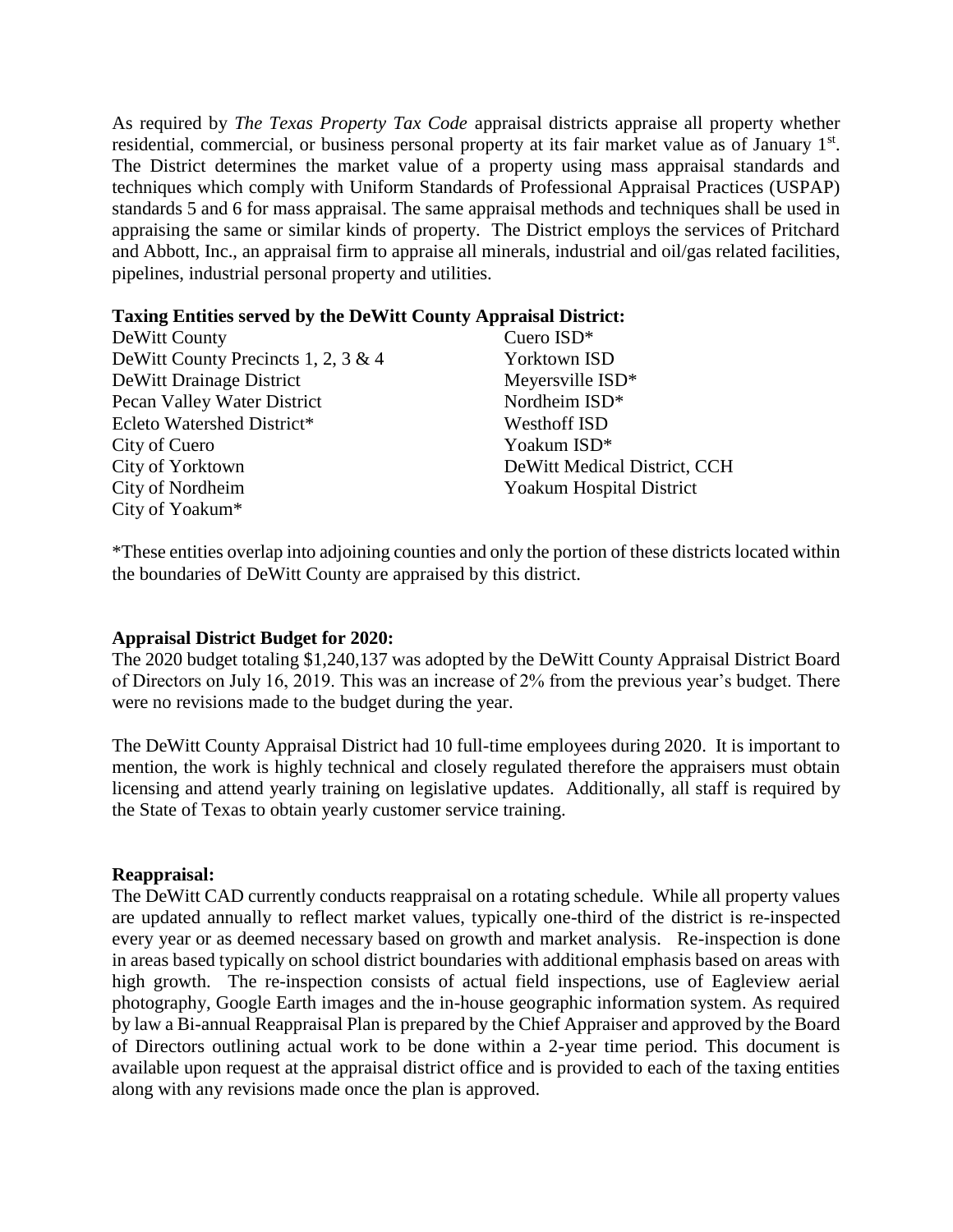As required by *The Texas Property Tax Code* appraisal districts appraise all property whether residential, commercial, or business personal property at its fair market value as of January 1st. The District determines the market value of a property using mass appraisal standards and techniques which comply with Uniform Standards of Professional Appraisal Practices (USPAP) standards 5 and 6 for mass appraisal. The same appraisal methods and techniques shall be used in appraising the same or similar kinds of property. The District employs the services of Pritchard and Abbott, Inc., an appraisal firm to appraise all minerals, industrial and oil/gas related facilities, pipelines, industrial personal property and utilities.

#### **Taxing Entities served by the DeWitt County Appraisal District:**

| DeWitt County                       | Cuero ISD*                      |
|-------------------------------------|---------------------------------|
| DeWitt County Precincts 1, 2, 3 & 4 | Yorktown ISD                    |
| DeWitt Drainage District            | Meyersville ISD*                |
| Pecan Valley Water District         | Nordheim ISD*                   |
| Ecleto Watershed District*          | <b>Westhoff ISD</b>             |
| City of Cuero                       | Yoakum ISD*                     |
| City of Yorktown                    | DeWitt Medical District, CCH    |
| City of Nordheim                    | <b>Yoakum Hospital District</b> |
| City of Yoakum*                     |                                 |

\*These entities overlap into adjoining counties and only the portion of these districts located within the boundaries of DeWitt County are appraised by this district.

#### **Appraisal District Budget for 2020:**

The 2020 budget totaling \$1,240,137 was adopted by the DeWitt County Appraisal District Board of Directors on July 16, 2019. This was an increase of 2% from the previous year's budget. There were no revisions made to the budget during the year.

The DeWitt County Appraisal District had 10 full-time employees during 2020. It is important to mention, the work is highly technical and closely regulated therefore the appraisers must obtain licensing and attend yearly training on legislative updates. Additionally, all staff is required by the State of Texas to obtain yearly customer service training.

#### **Reappraisal:**

The DeWitt CAD currently conducts reappraisal on a rotating schedule. While all property values are updated annually to reflect market values, typically one-third of the district is re-inspected every year or as deemed necessary based on growth and market analysis. Re-inspection is done in areas based typically on school district boundaries with additional emphasis based on areas with high growth. The re-inspection consists of actual field inspections, use of Eagleview aerial photography, Google Earth images and the in-house geographic information system. As required by law a Bi-annual Reappraisal Plan is prepared by the Chief Appraiser and approved by the Board of Directors outlining actual work to be done within a 2-year time period. This document is available upon request at the appraisal district office and is provided to each of the taxing entities along with any revisions made once the plan is approved.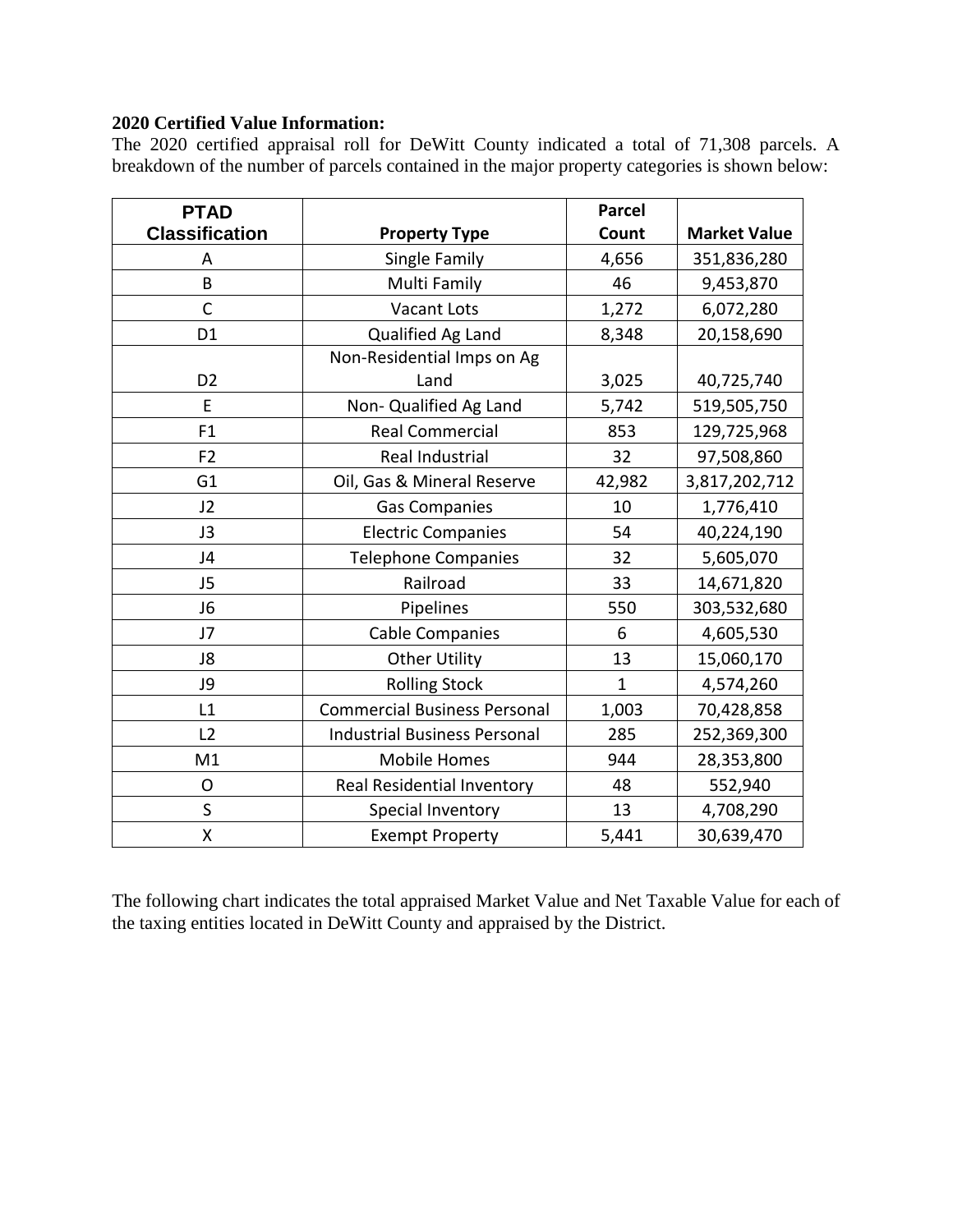#### **2020 Certified Value Information:**

The 2020 certified appraisal roll for DeWitt County indicated a total of 71,308 parcels. A breakdown of the number of parcels contained in the major property categories is shown below:

| <b>PTAD</b>           |                                     | <b>Parcel</b>  |                     |
|-----------------------|-------------------------------------|----------------|---------------------|
| <b>Classification</b> | <b>Property Type</b>                | Count          | <b>Market Value</b> |
| A                     | Single Family                       | 4,656          | 351,836,280         |
| B                     | Multi Family                        | 46             | 9,453,870           |
| $\mathsf{C}$          | Vacant Lots                         | 1,272          | 6,072,280           |
| D <sub>1</sub>        | Qualified Ag Land                   | 8,348          | 20,158,690          |
|                       | Non-Residential Imps on Ag          |                |                     |
| D <sub>2</sub>        | Land                                | 3,025          | 40,725,740          |
| E                     | Non- Qualified Ag Land              | 5,742          | 519,505,750         |
| F1                    | <b>Real Commercial</b>              | 853            | 129,725,968         |
| F <sub>2</sub>        | Real Industrial                     | 32             | 97,508,860          |
| G <sub>1</sub>        | Oil, Gas & Mineral Reserve          | 42,982         | 3,817,202,712       |
| J2                    | <b>Gas Companies</b>                | 10             | 1,776,410           |
| J3                    | <b>Electric Companies</b>           | 54             | 40,224,190          |
| J4                    | <b>Telephone Companies</b>          | 32             | 5,605,070           |
| J5                    | Railroad                            | 33             | 14,671,820          |
| J6                    | Pipelines                           | 550            | 303,532,680         |
| J7                    | <b>Cable Companies</b>              | 6              | 4,605,530           |
| J8                    | <b>Other Utility</b>                | 13             | 15,060,170          |
| J9                    | <b>Rolling Stock</b>                | $\overline{1}$ | 4,574,260           |
| L1                    | <b>Commercial Business Personal</b> | 1,003          | 70,428,858          |
| L2                    | <b>Industrial Business Personal</b> | 285            | 252,369,300         |
| M1                    | <b>Mobile Homes</b>                 | 944            | 28,353,800          |
| O                     | Real Residential Inventory          | 48             | 552,940             |
| S                     | Special Inventory                   | 13             | 4,708,290           |
| Χ                     | <b>Exempt Property</b>              | 5,441          | 30,639,470          |

The following chart indicates the total appraised Market Value and Net Taxable Value for each of the taxing entities located in DeWitt County and appraised by the District.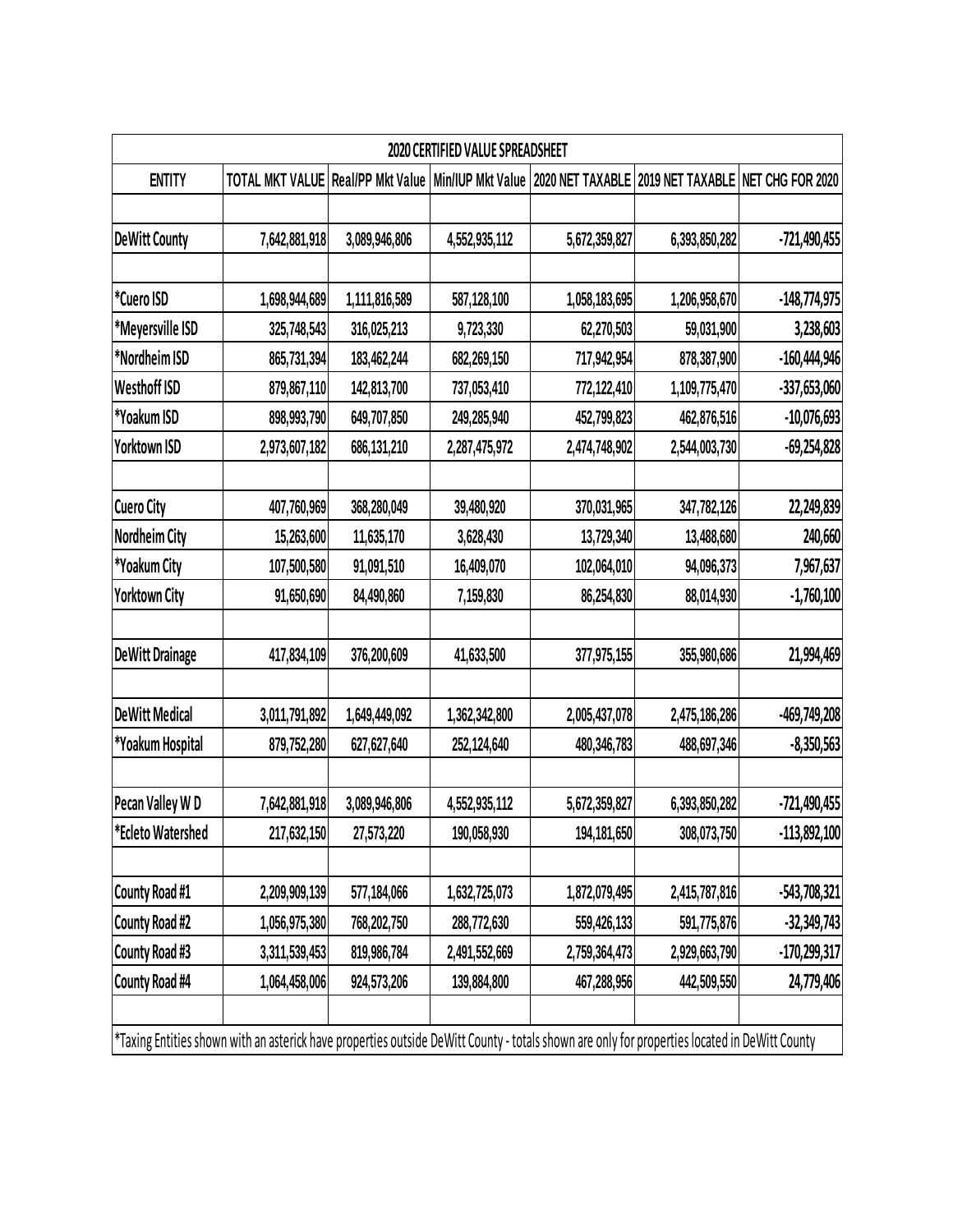| <b>2020 CERTIFIED VALUE SPREADSHEET</b>                                                                                                       |                                                     |               |               |               |                                                    |                |
|-----------------------------------------------------------------------------------------------------------------------------------------------|-----------------------------------------------------|---------------|---------------|---------------|----------------------------------------------------|----------------|
| <b>ENTITY</b>                                                                                                                                 | TOTAL MKT VALUE Real/PP Mkt Value Min/IUP Mkt Value |               |               |               | 2020 NET TAXABLE 2019 NET TAXABLE NET CHG FOR 2020 |                |
|                                                                                                                                               |                                                     |               |               |               |                                                    |                |
| <b>DeWitt County</b>                                                                                                                          | 7,642,881,918                                       | 3,089,946,806 | 4,552,935,112 | 5,672,359,827 | 6,393,850,282                                      | $-721,490,455$ |
|                                                                                                                                               |                                                     |               |               |               |                                                    |                |
| *Cuero ISD                                                                                                                                    | 1,698,944,689                                       | 1,111,816,589 | 587,128,100   | 1,058,183,695 | 1,206,958,670                                      | $-148,774,975$ |
| *Meyersville ISD                                                                                                                              | 325,748,543                                         | 316,025,213   | 9,723,330     | 62,270,503    | 59,031,900                                         | 3,238,603      |
| *Nordheim ISD                                                                                                                                 | 865,731,394                                         | 183,462,244   | 682,269,150   | 717,942,954   | 878,387,900                                        | $-160,444,946$ |
| <b>Westhoff ISD</b>                                                                                                                           | 879,867,110                                         | 142,813,700   | 737,053,410   | 772,122,410   | 1,109,775,470                                      | $-337,653,060$ |
| *Yoakum ISD                                                                                                                                   | 898,993,790                                         | 649,707,850   | 249,285,940   | 452,799,823   | 462,876,516                                        | $-10,076,693$  |
| Yorktown ISD                                                                                                                                  | 2,973,607,182                                       | 686,131,210   | 2,287,475,972 | 2,474,748,902 | 2,544,003,730                                      | $-69,254,828$  |
|                                                                                                                                               |                                                     |               |               |               |                                                    |                |
| <b>Cuero City</b>                                                                                                                             | 407,760,969                                         | 368,280,049   | 39,480,920    | 370,031,965   | 347,782,126                                        | 22,249,839     |
| Nordheim City                                                                                                                                 | 15,263,600                                          | 11,635,170    | 3,628,430     | 13,729,340    | 13,488,680                                         | 240,660        |
| *Yoakum City                                                                                                                                  | 107,500,580                                         | 91,091,510    | 16,409,070    | 102,064,010   | 94,096,373                                         | 7,967,637      |
| <b>Yorktown City</b>                                                                                                                          | 91,650,690                                          | 84,490,860    | 7,159,830     | 86,254,830    | 88,014,930                                         | $-1,760,100$   |
|                                                                                                                                               |                                                     |               |               |               |                                                    |                |
| <b>DeWitt Drainage</b>                                                                                                                        | 417,834,109                                         | 376,200,609   | 41,633,500    | 377,975,155   | 355,980,686                                        | 21,994,469     |
|                                                                                                                                               |                                                     |               |               |               |                                                    |                |
| <b>DeWitt Medical</b>                                                                                                                         | 3,011,791,892                                       | 1,649,449,092 | 1,362,342,800 | 2,005,437,078 | 2,475,186,286                                      | -469,749,208   |
| *Yoakum Hospital                                                                                                                              | 879,752,280                                         | 627,627,640   | 252,124,640   | 480,346,783   | 488,697,346                                        | $-8,350,563$   |
|                                                                                                                                               |                                                     |               |               |               |                                                    |                |
| Pecan Valley WD                                                                                                                               | 7,642,881,918                                       | 3,089,946,806 | 4,552,935,112 | 5,672,359,827 | 6,393,850,282                                      | -721,490,455   |
| *Ecleto Watershed                                                                                                                             | 217,632,150                                         | 27,573,220    | 190,058,930   | 194,181,650   | 308,073,750                                        | $-113,892,100$ |
|                                                                                                                                               |                                                     |               |               |               |                                                    |                |
| County Road #1                                                                                                                                | 2,209,909,139                                       | 577,184,066   | 1,632,725,073 | 1,872,079,495 | 2,415,787,816                                      | $-543,708,321$ |
| County Road #2                                                                                                                                | 1,056,975,380                                       | 768,202,750   | 288,772,630   | 559,426,133   | 591,775,876                                        | $-32,349,743$  |
| County Road #3                                                                                                                                | 3,311,539,453                                       | 819,986,784   | 2,491,552,669 | 2,759,364,473 | 2,929,663,790                                      | $-170,299,317$ |
| County Road #4                                                                                                                                | 1,064,458,006                                       | 924,573,206   | 139,884,800   | 467,288,956   | 442,509,550                                        | 24,779,406     |
|                                                                                                                                               |                                                     |               |               |               |                                                    |                |
| *Taxing Entities shown with an asterick have properties outside DeWitt County - totals shown are only for properties located in DeWitt County |                                                     |               |               |               |                                                    |                |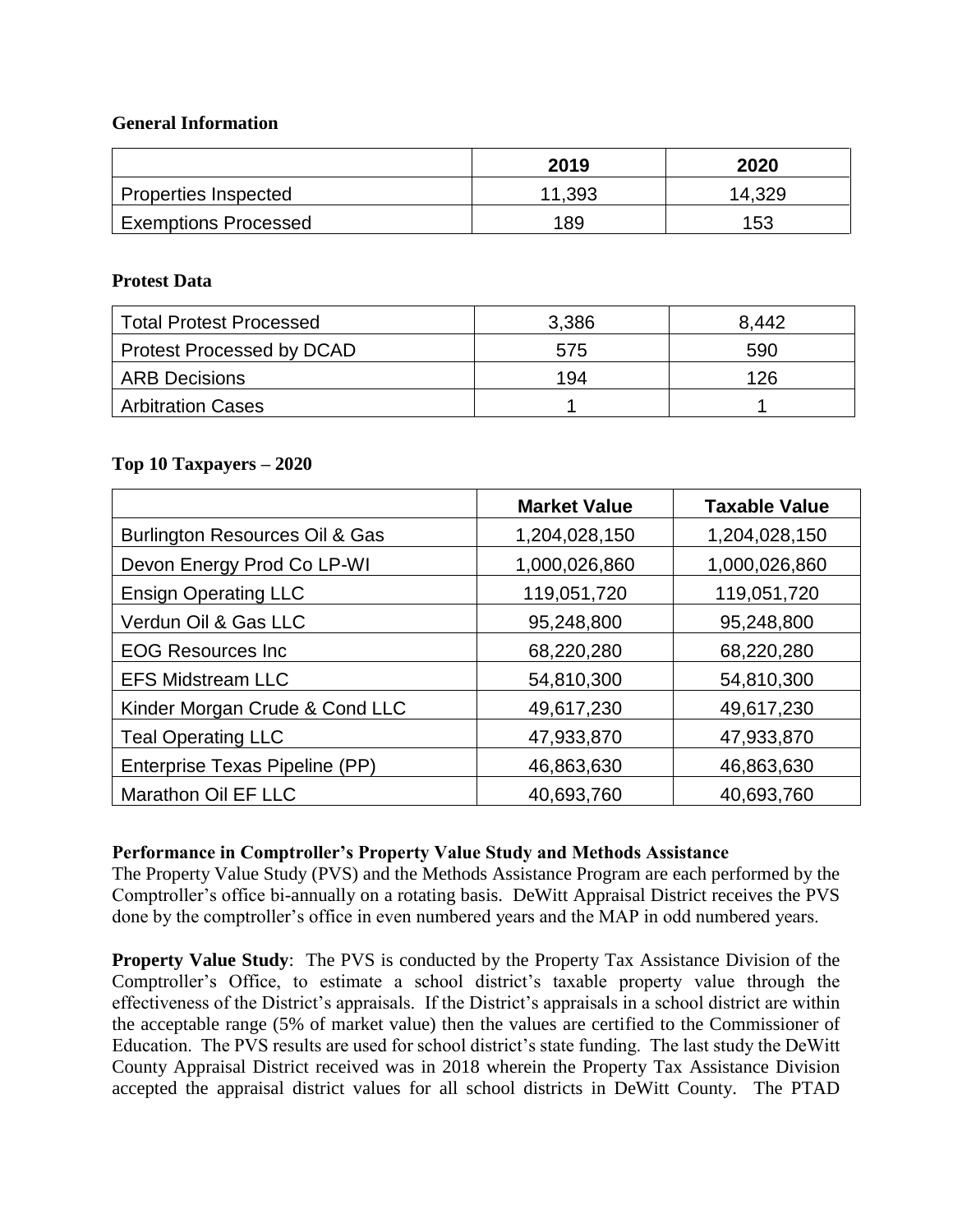#### **General Information**

|                             | 2019   | 2020   |
|-----------------------------|--------|--------|
| Properties Inspected        | 11,393 | 14,329 |
| <b>Exemptions Processed</b> | 189    | 153    |

#### **Protest Data**

| <b>Total Protest Processed</b>   | 3,386 | 8.442 |
|----------------------------------|-------|-------|
| <b>Protest Processed by DCAD</b> | 575   | 590   |
| <b>ARB Decisions</b>             | 194   | 126   |
| <b>Arbitration Cases</b>         |       |       |

#### **Top 10 Taxpayers – 2020**

|                                           | <b>Market Value</b> | <b>Taxable Value</b> |
|-------------------------------------------|---------------------|----------------------|
| <b>Burlington Resources Oil &amp; Gas</b> | 1,204,028,150       | 1,204,028,150        |
| Devon Energy Prod Co LP-WI                | 1,000,026,860       | 1,000,026,860        |
| <b>Ensign Operating LLC</b>               | 119,051,720         | 119,051,720          |
| Verdun Oil & Gas LLC                      | 95,248,800          | 95,248,800           |
| <b>EOG Resources Inc.</b>                 | 68,220,280          | 68,220,280           |
| <b>EFS Midstream LLC</b>                  | 54,810,300          | 54,810,300           |
| Kinder Morgan Crude & Cond LLC            | 49,617,230          | 49,617,230           |
| <b>Teal Operating LLC</b>                 | 47,933,870          | 47,933,870           |
| Enterprise Texas Pipeline (PP)            | 46,863,630          | 46,863,630           |
| Marathon Oil EF LLC                       | 40,693,760          | 40,693,760           |

#### **Performance in Comptroller's Property Value Study and Methods Assistance**

The Property Value Study (PVS) and the Methods Assistance Program are each performed by the Comptroller's office bi-annually on a rotating basis. DeWitt Appraisal District receives the PVS done by the comptroller's office in even numbered years and the MAP in odd numbered years.

**Property Value Study:** The PVS is conducted by the Property Tax Assistance Division of the Comptroller's Office, to estimate a school district's taxable property value through the effectiveness of the District's appraisals. If the District's appraisals in a school district are within the acceptable range (5% of market value) then the values are certified to the Commissioner of Education. The PVS results are used for school district's state funding. The last study the DeWitt County Appraisal District received was in 2018 wherein the Property Tax Assistance Division accepted the appraisal district values for all school districts in DeWitt County. The PTAD